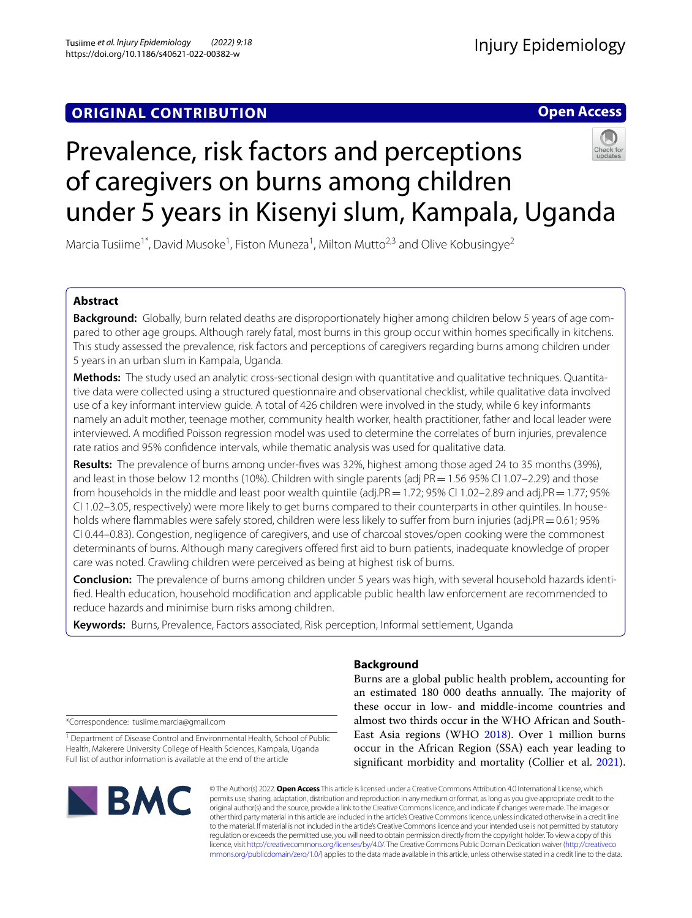## **Open Access**

# Prevalence, risk factors and perceptions of caregivers on burns among children under 5 years in Kisenyi slum, Kampala, Uganda

Marcia Tusiime<sup>1\*</sup>, David Musoke<sup>1</sup>, Fiston Muneza<sup>1</sup>, Milton Mutto<sup>2,3</sup> and Olive Kobusingye<sup>2</sup>

## **Abstract**

**Background:** Globally, burn related deaths are disproportionately higher among children below 5 years of age compared to other age groups. Although rarely fatal, most burns in this group occur within homes specifcally in kitchens. This study assessed the prevalence, risk factors and perceptions of caregivers regarding burns among children under 5 years in an urban slum in Kampala, Uganda.

**Methods:** The study used an analytic cross-sectional design with quantitative and qualitative techniques. Quantitative data were collected using a structured questionnaire and observational checklist, while qualitative data involved use of a key informant interview guide. A total of 426 children were involved in the study, while 6 key informants namely an adult mother, teenage mother, community health worker, health practitioner, father and local leader were interviewed. A modifed Poisson regression model was used to determine the correlates of burn injuries, prevalence rate ratios and 95% confdence intervals, while thematic analysis was used for qualitative data.

**Results:** The prevalence of burns among under-fves was 32%, highest among those aged 24 to 35 months (39%), and least in those below 12 months (10%). Children with single parents (adj PR = 1.56 95% CI 1.07–2.29) and those from households in the middle and least poor wealth quintile (adj.PR = 1.72; 95% CI 1.02–2.89 and adj.PR = 1.77; 95% CI 1.02–3.05, respectively) were more likely to get burns compared to their counterparts in other quintiles. In households where flammables were safely stored, children were less likely to suffer from burn injuries (adj.PR = 0.61; 95% CI 0.44–0.83). Congestion, negligence of caregivers, and use of charcoal stoves/open cooking were the commonest determinants of burns. Although many caregivers offered first aid to burn patients, inadequate knowledge of proper care was noted. Crawling children were perceived as being at highest risk of burns.

**Conclusion:** The prevalence of burns among children under 5 years was high, with several household hazards identifed. Health education, household modifcation and applicable public health law enforcement are recommended to reduce hazards and minimise burn risks among children.

**Keywords:** Burns, Prevalence, Factors associated, Risk perception, Informal settlement, Uganda

## **Background**

Burns are a global public health problem, accounting for an estimated 180 000 deaths annually. The majority of these occur in low- and middle-income countries and almost two thirds occur in the WHO African and South-East Asia regions (WHO [2018\)](#page-8-0). Over 1 million burns occur in the African Region (SSA) each year leading to significant morbidity and mortality (Collier et al. [2021](#page-7-0)).

\*Correspondence: tusiime.marcia@gmail.com

<sup>1</sup> Department of Disease Control and Environmental Health, School of Public Health, Makerere University College of Health Sciences, Kampala, Uganda Full list of author information is available at the end of the article



© The Author(s) 2022. **Open Access** This article is licensed under a Creative Commons Attribution 4.0 International License, which permits use, sharing, adaptation, distribution and reproduction in any medium or format, as long as you give appropriate credit to the original author(s) and the source, provide a link to the Creative Commons licence, and indicate if changes were made. The images or other third party material in this article are included in the article's Creative Commons licence, unless indicated otherwise in a credit line to the material. If material is not included in the article's Creative Commons licence and your intended use is not permitted by statutory regulation or exceeds the permitted use, you will need to obtain permission directly from the copyright holder. To view a copy of this licence, visit [http://creativecommons.org/licenses/by/4.0/.](http://creativecommons.org/licenses/by/4.0/) The Creative Commons Public Domain Dedication waiver ([http://creativeco](http://creativecommons.org/publicdomain/zero/1.0/) [mmons.org/publicdomain/zero/1.0/](http://creativecommons.org/publicdomain/zero/1.0/)) applies to the data made available in this article, unless otherwise stated in a credit line to the data.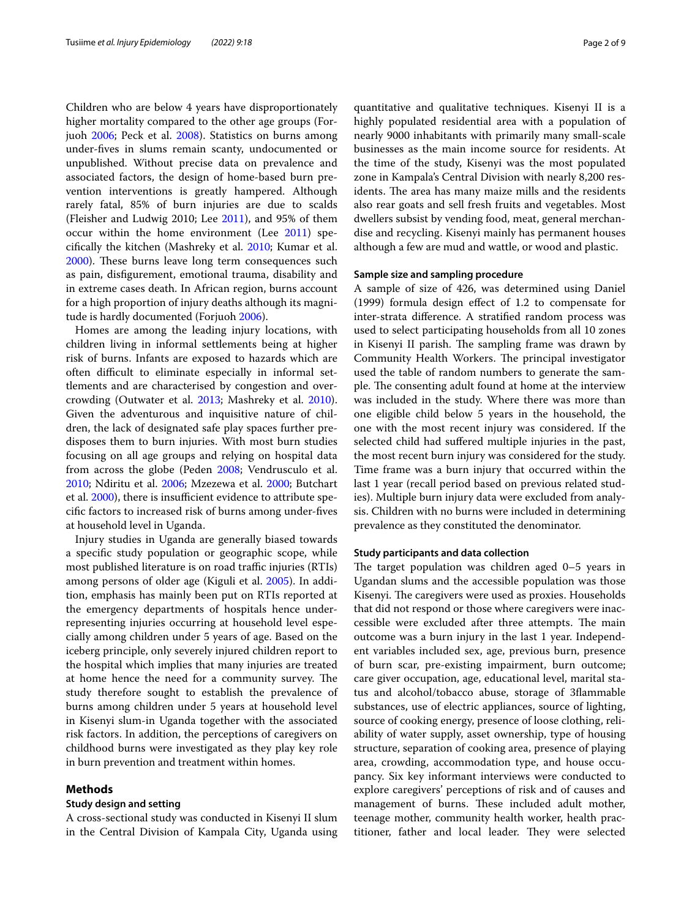Children who are below 4 years have disproportionately higher mortality compared to the other age groups (Forjuoh [2006](#page-7-1); Peck et al. [2008](#page-8-1)). Statistics on burns among under-fves in slums remain scanty, undocumented or unpublished. Without precise data on prevalence and associated factors, the design of home-based burn prevention interventions is greatly hampered. Although rarely fatal, 85% of burn injuries are due to scalds (Fleisher and Ludwig 2010; Lee [2011\)](#page-8-2), and 95% of them occur within the home environment (Lee [2011\)](#page-8-2) specifcally the kitchen (Mashreky et al. [2010;](#page-8-3) Kumar et al. [2000](#page-8-4)). These burns leave long term consequences such as pain, disfgurement, emotional trauma, disability and in extreme cases death. In African region, burns account for a high proportion of injury deaths although its magnitude is hardly documented (Forjuoh [2006](#page-7-1)).

Homes are among the leading injury locations, with children living in informal settlements being at higher risk of burns. Infants are exposed to hazards which are often difficult to eliminate especially in informal settlements and are characterised by congestion and overcrowding (Outwater et al. [2013;](#page-8-5) Mashreky et al. [2010](#page-8-3)). Given the adventurous and inquisitive nature of children, the lack of designated safe play spaces further predisposes them to burn injuries. With most burn studies focusing on all age groups and relying on hospital data from across the globe (Peden [2008;](#page-8-6) Vendrusculo et al. [2010](#page-8-7); Ndiritu et al. [2006;](#page-8-8) Mzezewa et al. [2000](#page-8-9); Butchart et al. [2000](#page-7-2)), there is insufficient evidence to attribute specifc factors to increased risk of burns among under-fves at household level in Uganda.

Injury studies in Uganda are generally biased towards a specifc study population or geographic scope, while most published literature is on road traffic injuries (RTIs) among persons of older age (Kiguli et al. [2005\)](#page-7-3). In addition, emphasis has mainly been put on RTIs reported at the emergency departments of hospitals hence underrepresenting injuries occurring at household level especially among children under 5 years of age. Based on the iceberg principle, only severely injured children report to the hospital which implies that many injuries are treated at home hence the need for a community survey. The study therefore sought to establish the prevalence of burns among children under 5 years at household level in Kisenyi slum-in Uganda together with the associated risk factors. In addition, the perceptions of caregivers on childhood burns were investigated as they play key role in burn prevention and treatment within homes.

#### **Methods**

#### **Study design and setting**

A cross-sectional study was conducted in Kisenyi II slum in the Central Division of Kampala City, Uganda using

quantitative and qualitative techniques. Kisenyi II is a highly populated residential area with a population of nearly 9000 inhabitants with primarily many small-scale businesses as the main income source for residents. At the time of the study, Kisenyi was the most populated zone in Kampala's Central Division with nearly 8,200 residents. The area has many maize mills and the residents also rear goats and sell fresh fruits and vegetables. Most dwellers subsist by vending food, meat, general merchandise and recycling. Kisenyi mainly has permanent houses although a few are mud and wattle, or wood and plastic.

#### **Sample size and sampling procedure**

A sample of size of 426, was determined using Daniel (1999) formula design efect of 1.2 to compensate for inter-strata diference. A stratifed random process was used to select participating households from all 10 zones in Kisenyi II parish. The sampling frame was drawn by Community Health Workers. The principal investigator used the table of random numbers to generate the sample. The consenting adult found at home at the interview was included in the study. Where there was more than one eligible child below 5 years in the household, the one with the most recent injury was considered. If the selected child had sufered multiple injuries in the past, the most recent burn injury was considered for the study. Time frame was a burn injury that occurred within the last 1 year (recall period based on previous related studies). Multiple burn injury data were excluded from analysis. Children with no burns were included in determining prevalence as they constituted the denominator.

#### **Study participants and data collection**

The target population was children aged  $0-5$  years in Ugandan slums and the accessible population was those Kisenyi. The caregivers were used as proxies. Households that did not respond or those where caregivers were inaccessible were excluded after three attempts. The main outcome was a burn injury in the last 1 year. Independent variables included sex, age, previous burn, presence of burn scar, pre-existing impairment, burn outcome; care giver occupation, age, educational level, marital status and alcohol/tobacco abuse, storage of 3fammable substances, use of electric appliances, source of lighting, source of cooking energy, presence of loose clothing, reliability of water supply, asset ownership, type of housing structure, separation of cooking area, presence of playing area, crowding, accommodation type, and house occupancy. Six key informant interviews were conducted to explore caregivers' perceptions of risk and of causes and management of burns. These included adult mother, teenage mother, community health worker, health practitioner, father and local leader. They were selected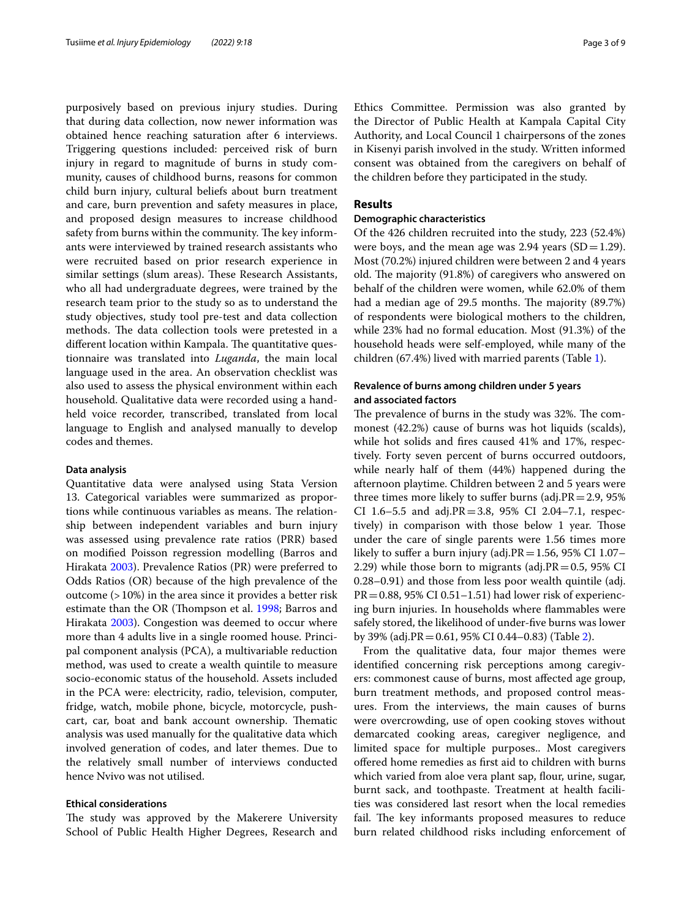purposively based on previous injury studies. During that during data collection, now newer information was obtained hence reaching saturation after 6 interviews. Triggering questions included: perceived risk of burn injury in regard to magnitude of burns in study community, causes of childhood burns, reasons for common child burn injury, cultural beliefs about burn treatment and care, burn prevention and safety measures in place, and proposed design measures to increase childhood safety from burns within the community. The key informants were interviewed by trained research assistants who were recruited based on prior research experience in similar settings (slum areas). These Research Assistants, who all had undergraduate degrees, were trained by the research team prior to the study so as to understand the study objectives, study tool pre-test and data collection methods. The data collection tools were pretested in a different location within Kampala. The quantitative questionnaire was translated into *Luganda*, the main local language used in the area. An observation checklist was also used to assess the physical environment within each household. Qualitative data were recorded using a handheld voice recorder, transcribed, translated from local language to English and analysed manually to develop codes and themes.

#### **Data analysis**

Quantitative data were analysed using Stata Version 13. Categorical variables were summarized as proportions while continuous variables as means. The relationship between independent variables and burn injury was assessed using prevalence rate ratios (PRR) based on modifed Poisson regression modelling (Barros and Hirakata [2003\)](#page-7-4). Prevalence Ratios (PR) were preferred to Odds Ratios (OR) because of the high prevalence of the outcome (>10%) in the area since it provides a better risk estimate than the OR (Thompson et al. [1998](#page-8-10); Barros and Hirakata [2003](#page-7-4)). Congestion was deemed to occur where more than 4 adults live in a single roomed house. Principal component analysis (PCA), a multivariable reduction method, was used to create a wealth quintile to measure socio-economic status of the household. Assets included in the PCA were: electricity, radio, television, computer, fridge, watch, mobile phone, bicycle, motorcycle, pushcart, car, boat and bank account ownership. Thematic analysis was used manually for the qualitative data which involved generation of codes, and later themes. Due to the relatively small number of interviews conducted hence Nvivo was not utilised.

#### **Ethical considerations**

The study was approved by the Makerere University School of Public Health Higher Degrees, Research and Ethics Committee. Permission was also granted by the Director of Public Health at Kampala Capital City Authority, and Local Council 1 chairpersons of the zones in Kisenyi parish involved in the study. Written informed consent was obtained from the caregivers on behalf of the children before they participated in the study.

### **Results**

#### **Demographic characteristics**

Of the 426 children recruited into the study, 223 (52.4%) were boys, and the mean age was  $2.94$  years (SD=1.29). Most (70.2%) injured children were between 2 and 4 years old. The majority (91.8%) of caregivers who answered on behalf of the children were women, while 62.0% of them had a median age of 29.5 months. The majority (89.7%) of respondents were biological mothers to the children, while 23% had no formal education. Most (91.3%) of the household heads were self-employed, while many of the children (67.4%) lived with married parents (Table [1\)](#page-3-0).

### **Revalence of burns among children under 5 years and associated factors**

The prevalence of burns in the study was 32%. The commonest (42.2%) cause of burns was hot liquids (scalds), while hot solids and fres caused 41% and 17%, respectively. Forty seven percent of burns occurred outdoors, while nearly half of them (44%) happened during the afternoon playtime. Children between 2 and 5 years were three times more likely to suffer burns (adj. $PR = 2.9$ , 95% CI 1.6–5.5 and adj.PR=3.8, 95% CI 2.04–7.1, respectively) in comparison with those below 1 year. Those under the care of single parents were 1.56 times more likely to suffer a burn injury (adj. $PR = 1.56$ , 95% CI 1.07– 2.29) while those born to migrants (adj. $PR = 0.5$ , 95% CI 0.28–0.91) and those from less poor wealth quintile (adj.  $PR = 0.88$ , 95% CI 0.51–1.51) had lower risk of experiencing burn injuries. In households where fammables were safely stored, the likelihood of under-fve burns was lower by 39% (adj.PR=0.61, 95% CI 0.44–0.83) (Table [2](#page-4-0)).

From the qualitative data, four major themes were identifed concerning risk perceptions among caregivers: commonest cause of burns, most afected age group, burn treatment methods, and proposed control measures. From the interviews, the main causes of burns were overcrowding, use of open cooking stoves without demarcated cooking areas, caregiver negligence, and limited space for multiple purposes.. Most caregivers ofered home remedies as frst aid to children with burns which varied from aloe vera plant sap, flour, urine, sugar, burnt sack, and toothpaste. Treatment at health facilities was considered last resort when the local remedies fail. The key informants proposed measures to reduce burn related childhood risks including enforcement of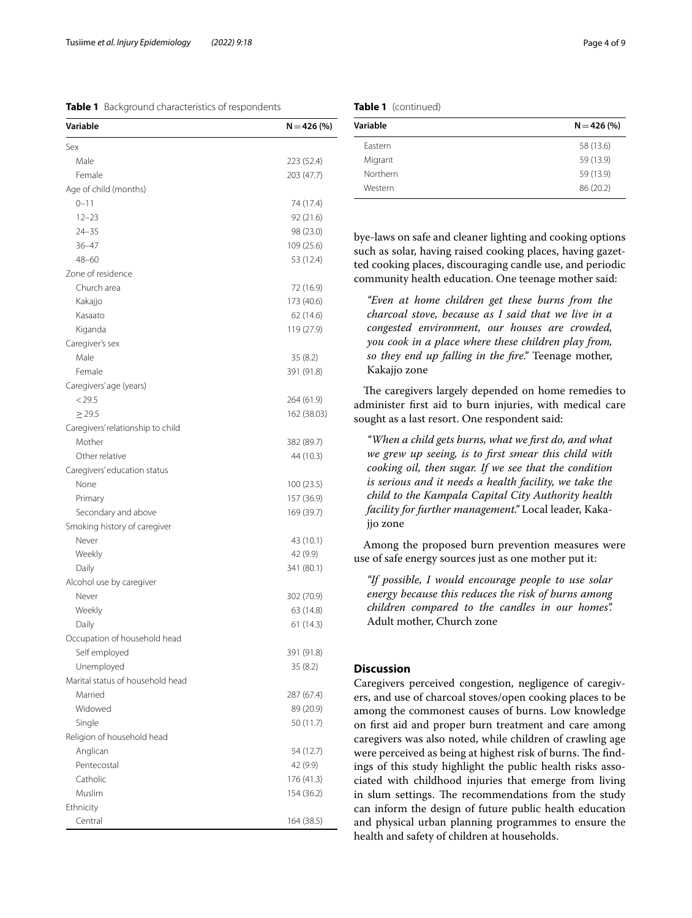<span id="page-3-0"></span>**Table 1** Background characteristics of respondents

| Sex<br>Male<br>223 (52.4)<br>Female<br>203 (47.7)<br>Age of child (months)<br>$0 - 11$<br>74 (17.4)<br>$12 - 23$<br>92 (21.6)<br>$24 - 35$<br>98 (23.0)<br>$36 - 47$<br>109 (25.6)<br>$48 - 60$<br>53 (12.4)<br>Zone of residence<br>Church area<br>72 (16.9)<br>Kakajjo<br>173 (40.6)<br>Kasaato<br>62 (14.6)<br>Kiganda<br>119 (27.9)<br>Caregiver's sex<br>Male<br>35(8.2)<br>Female<br>391 (91.8)<br>Caregivers' age (years)<br>< 29.5<br>264 (61.9)<br>$\geq$ 29.5<br>Caregivers' relationship to child<br>Mother<br>382 (89.7)<br>Other relative<br>44 (10.3)<br>Caregivers' education status<br>None<br>100 (23.5)<br>157 (36.9)<br>Primary<br>Secondary and above<br>169 (39.7)<br>Smoking history of caregiver<br>Never<br>43 (10.1)<br>Weekly<br>42 (9.9)<br>Daily<br>341 (80.1)<br>Alcohol use by caregiver<br>Never<br>302 (70.9)<br>Weekly<br>63 (14.8)<br>Daily<br>61(14.3)<br>Occupation of household head<br>Self employed<br>391 (91.8)<br>Unemployed<br>35(8.2)<br>Marital status of household head<br>Married<br>287 (67.4)<br>Widowed<br>89 (20.9)<br>Single<br>50 (11.7)<br>Religion of household head<br>Anglican<br>54 (12.7)<br>Pentecostal<br>42 (9.9)<br>Catholic<br>176 (41.3)<br>Muslim<br>154 (36.2)<br>Ethnicity | Variable | $N = 426 (%)$ |
|------------------------------------------------------------------------------------------------------------------------------------------------------------------------------------------------------------------------------------------------------------------------------------------------------------------------------------------------------------------------------------------------------------------------------------------------------------------------------------------------------------------------------------------------------------------------------------------------------------------------------------------------------------------------------------------------------------------------------------------------------------------------------------------------------------------------------------------------------------------------------------------------------------------------------------------------------------------------------------------------------------------------------------------------------------------------------------------------------------------------------------------------------------------------------------------------------------------------------------------------|----------|---------------|
|                                                                                                                                                                                                                                                                                                                                                                                                                                                                                                                                                                                                                                                                                                                                                                                                                                                                                                                                                                                                                                                                                                                                                                                                                                                |          |               |
|                                                                                                                                                                                                                                                                                                                                                                                                                                                                                                                                                                                                                                                                                                                                                                                                                                                                                                                                                                                                                                                                                                                                                                                                                                                |          |               |
|                                                                                                                                                                                                                                                                                                                                                                                                                                                                                                                                                                                                                                                                                                                                                                                                                                                                                                                                                                                                                                                                                                                                                                                                                                                |          |               |
|                                                                                                                                                                                                                                                                                                                                                                                                                                                                                                                                                                                                                                                                                                                                                                                                                                                                                                                                                                                                                                                                                                                                                                                                                                                |          |               |
|                                                                                                                                                                                                                                                                                                                                                                                                                                                                                                                                                                                                                                                                                                                                                                                                                                                                                                                                                                                                                                                                                                                                                                                                                                                |          |               |
|                                                                                                                                                                                                                                                                                                                                                                                                                                                                                                                                                                                                                                                                                                                                                                                                                                                                                                                                                                                                                                                                                                                                                                                                                                                |          |               |
|                                                                                                                                                                                                                                                                                                                                                                                                                                                                                                                                                                                                                                                                                                                                                                                                                                                                                                                                                                                                                                                                                                                                                                                                                                                |          |               |
|                                                                                                                                                                                                                                                                                                                                                                                                                                                                                                                                                                                                                                                                                                                                                                                                                                                                                                                                                                                                                                                                                                                                                                                                                                                |          |               |
|                                                                                                                                                                                                                                                                                                                                                                                                                                                                                                                                                                                                                                                                                                                                                                                                                                                                                                                                                                                                                                                                                                                                                                                                                                                |          |               |
|                                                                                                                                                                                                                                                                                                                                                                                                                                                                                                                                                                                                                                                                                                                                                                                                                                                                                                                                                                                                                                                                                                                                                                                                                                                |          |               |
|                                                                                                                                                                                                                                                                                                                                                                                                                                                                                                                                                                                                                                                                                                                                                                                                                                                                                                                                                                                                                                                                                                                                                                                                                                                |          |               |
|                                                                                                                                                                                                                                                                                                                                                                                                                                                                                                                                                                                                                                                                                                                                                                                                                                                                                                                                                                                                                                                                                                                                                                                                                                                |          |               |
|                                                                                                                                                                                                                                                                                                                                                                                                                                                                                                                                                                                                                                                                                                                                                                                                                                                                                                                                                                                                                                                                                                                                                                                                                                                |          |               |
|                                                                                                                                                                                                                                                                                                                                                                                                                                                                                                                                                                                                                                                                                                                                                                                                                                                                                                                                                                                                                                                                                                                                                                                                                                                |          |               |
|                                                                                                                                                                                                                                                                                                                                                                                                                                                                                                                                                                                                                                                                                                                                                                                                                                                                                                                                                                                                                                                                                                                                                                                                                                                |          |               |
|                                                                                                                                                                                                                                                                                                                                                                                                                                                                                                                                                                                                                                                                                                                                                                                                                                                                                                                                                                                                                                                                                                                                                                                                                                                |          |               |
|                                                                                                                                                                                                                                                                                                                                                                                                                                                                                                                                                                                                                                                                                                                                                                                                                                                                                                                                                                                                                                                                                                                                                                                                                                                |          |               |
|                                                                                                                                                                                                                                                                                                                                                                                                                                                                                                                                                                                                                                                                                                                                                                                                                                                                                                                                                                                                                                                                                                                                                                                                                                                |          |               |
|                                                                                                                                                                                                                                                                                                                                                                                                                                                                                                                                                                                                                                                                                                                                                                                                                                                                                                                                                                                                                                                                                                                                                                                                                                                |          |               |
|                                                                                                                                                                                                                                                                                                                                                                                                                                                                                                                                                                                                                                                                                                                                                                                                                                                                                                                                                                                                                                                                                                                                                                                                                                                |          | 162 (38.03)   |
|                                                                                                                                                                                                                                                                                                                                                                                                                                                                                                                                                                                                                                                                                                                                                                                                                                                                                                                                                                                                                                                                                                                                                                                                                                                |          |               |
|                                                                                                                                                                                                                                                                                                                                                                                                                                                                                                                                                                                                                                                                                                                                                                                                                                                                                                                                                                                                                                                                                                                                                                                                                                                |          |               |
|                                                                                                                                                                                                                                                                                                                                                                                                                                                                                                                                                                                                                                                                                                                                                                                                                                                                                                                                                                                                                                                                                                                                                                                                                                                |          |               |
|                                                                                                                                                                                                                                                                                                                                                                                                                                                                                                                                                                                                                                                                                                                                                                                                                                                                                                                                                                                                                                                                                                                                                                                                                                                |          |               |
|                                                                                                                                                                                                                                                                                                                                                                                                                                                                                                                                                                                                                                                                                                                                                                                                                                                                                                                                                                                                                                                                                                                                                                                                                                                |          |               |
|                                                                                                                                                                                                                                                                                                                                                                                                                                                                                                                                                                                                                                                                                                                                                                                                                                                                                                                                                                                                                                                                                                                                                                                                                                                |          |               |
|                                                                                                                                                                                                                                                                                                                                                                                                                                                                                                                                                                                                                                                                                                                                                                                                                                                                                                                                                                                                                                                                                                                                                                                                                                                |          |               |
|                                                                                                                                                                                                                                                                                                                                                                                                                                                                                                                                                                                                                                                                                                                                                                                                                                                                                                                                                                                                                                                                                                                                                                                                                                                |          |               |
|                                                                                                                                                                                                                                                                                                                                                                                                                                                                                                                                                                                                                                                                                                                                                                                                                                                                                                                                                                                                                                                                                                                                                                                                                                                |          |               |
|                                                                                                                                                                                                                                                                                                                                                                                                                                                                                                                                                                                                                                                                                                                                                                                                                                                                                                                                                                                                                                                                                                                                                                                                                                                |          |               |
|                                                                                                                                                                                                                                                                                                                                                                                                                                                                                                                                                                                                                                                                                                                                                                                                                                                                                                                                                                                                                                                                                                                                                                                                                                                |          |               |
|                                                                                                                                                                                                                                                                                                                                                                                                                                                                                                                                                                                                                                                                                                                                                                                                                                                                                                                                                                                                                                                                                                                                                                                                                                                |          |               |
|                                                                                                                                                                                                                                                                                                                                                                                                                                                                                                                                                                                                                                                                                                                                                                                                                                                                                                                                                                                                                                                                                                                                                                                                                                                |          |               |
|                                                                                                                                                                                                                                                                                                                                                                                                                                                                                                                                                                                                                                                                                                                                                                                                                                                                                                                                                                                                                                                                                                                                                                                                                                                |          |               |
|                                                                                                                                                                                                                                                                                                                                                                                                                                                                                                                                                                                                                                                                                                                                                                                                                                                                                                                                                                                                                                                                                                                                                                                                                                                |          |               |
|                                                                                                                                                                                                                                                                                                                                                                                                                                                                                                                                                                                                                                                                                                                                                                                                                                                                                                                                                                                                                                                                                                                                                                                                                                                |          |               |
|                                                                                                                                                                                                                                                                                                                                                                                                                                                                                                                                                                                                                                                                                                                                                                                                                                                                                                                                                                                                                                                                                                                                                                                                                                                |          |               |
|                                                                                                                                                                                                                                                                                                                                                                                                                                                                                                                                                                                                                                                                                                                                                                                                                                                                                                                                                                                                                                                                                                                                                                                                                                                |          |               |
|                                                                                                                                                                                                                                                                                                                                                                                                                                                                                                                                                                                                                                                                                                                                                                                                                                                                                                                                                                                                                                                                                                                                                                                                                                                |          |               |
|                                                                                                                                                                                                                                                                                                                                                                                                                                                                                                                                                                                                                                                                                                                                                                                                                                                                                                                                                                                                                                                                                                                                                                                                                                                |          |               |
|                                                                                                                                                                                                                                                                                                                                                                                                                                                                                                                                                                                                                                                                                                                                                                                                                                                                                                                                                                                                                                                                                                                                                                                                                                                |          |               |
|                                                                                                                                                                                                                                                                                                                                                                                                                                                                                                                                                                                                                                                                                                                                                                                                                                                                                                                                                                                                                                                                                                                                                                                                                                                |          |               |
|                                                                                                                                                                                                                                                                                                                                                                                                                                                                                                                                                                                                                                                                                                                                                                                                                                                                                                                                                                                                                                                                                                                                                                                                                                                |          |               |
|                                                                                                                                                                                                                                                                                                                                                                                                                                                                                                                                                                                                                                                                                                                                                                                                                                                                                                                                                                                                                                                                                                                                                                                                                                                |          |               |
|                                                                                                                                                                                                                                                                                                                                                                                                                                                                                                                                                                                                                                                                                                                                                                                                                                                                                                                                                                                                                                                                                                                                                                                                                                                |          |               |
|                                                                                                                                                                                                                                                                                                                                                                                                                                                                                                                                                                                                                                                                                                                                                                                                                                                                                                                                                                                                                                                                                                                                                                                                                                                |          |               |
|                                                                                                                                                                                                                                                                                                                                                                                                                                                                                                                                                                                                                                                                                                                                                                                                                                                                                                                                                                                                                                                                                                                                                                                                                                                |          |               |
|                                                                                                                                                                                                                                                                                                                                                                                                                                                                                                                                                                                                                                                                                                                                                                                                                                                                                                                                                                                                                                                                                                                                                                                                                                                |          |               |
|                                                                                                                                                                                                                                                                                                                                                                                                                                                                                                                                                                                                                                                                                                                                                                                                                                                                                                                                                                                                                                                                                                                                                                                                                                                | Central  | 164 (38.5)    |

| Table 1 (continued) |  |
|---------------------|--|
|---------------------|--|

| Variable | $N = 426 (%)$ |
|----------|---------------|
| Eastern  | 58 (13.6)     |
| Migrant  | 59 (13.9)     |
| Northern | 59 (13.9)     |
| Western  | 86 (20.2)     |

bye-laws on safe and cleaner lighting and cooking options such as solar, having raised cooking places, having gazetted cooking places, discouraging candle use, and periodic community health education. One teenage mother said:

*"Even at home children get these burns from the charcoal stove, because as I said that we live in a congested environment, our houses are crowded, you cook in a place where these children play from, so they end up falling in the fre."* Teenage mother, Kakajjo zone

The caregivers largely depended on home remedies to administer frst aid to burn injuries, with medical care sought as a last resort. One respondent said:

*"When a child gets burns, what we frst do, and what we grew up seeing, is to frst smear this child with cooking oil, then sugar. If we see that the condition is serious and it needs a health facility, we take the child to the Kampala Capital City Authority health facility for further management."* Local leader, Kakajjo zone

Among the proposed burn prevention measures were use of safe energy sources just as one mother put it:

*"If possible, I would encourage people to use solar energy because this reduces the risk of burns among children compared to the candles in our homes".*  Adult mother, Church zone

## **Discussion**

Caregivers perceived congestion, negligence of caregivers, and use of charcoal stoves/open cooking places to be among the commonest causes of burns. Low knowledge on frst aid and proper burn treatment and care among caregivers was also noted, while children of crawling age were perceived as being at highest risk of burns. The findings of this study highlight the public health risks associated with childhood injuries that emerge from living in slum settings. The recommendations from the study can inform the design of future public health education and physical urban planning programmes to ensure the health and safety of children at households.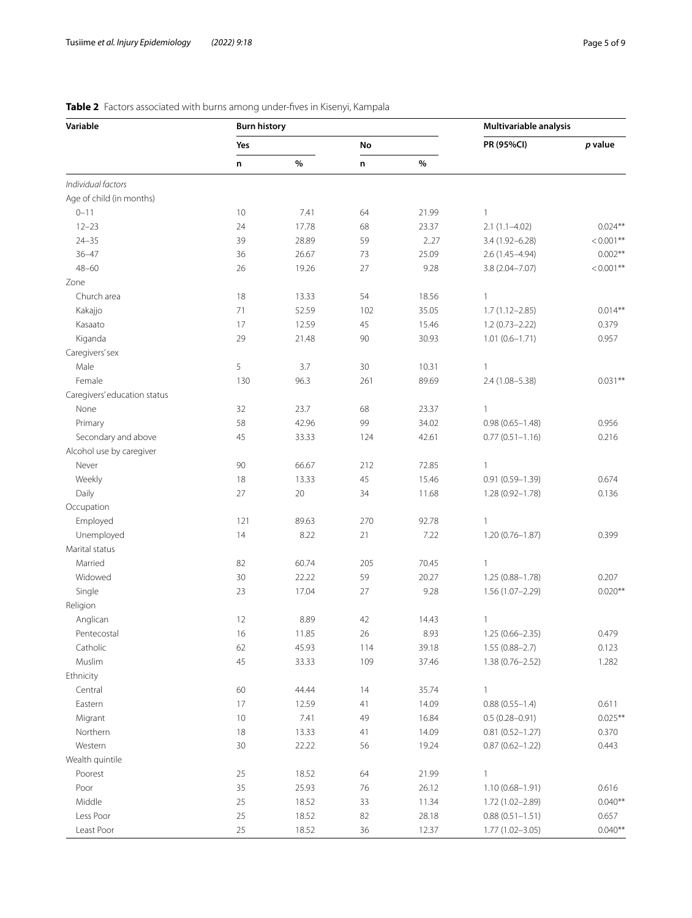| Variable                     | <b>Burn history</b> |       |     | Multivariable analysis |                     |              |
|------------------------------|---------------------|-------|-----|------------------------|---------------------|--------------|
|                              | Yes                 |       | No  |                        | PR (95%CI)          | p value      |
|                              | n                   | $\%$  | n   | $\%$                   |                     |              |
| Individual factors           |                     |       |     |                        |                     |              |
| Age of child (in months)     |                     |       |     |                        |                     |              |
| $0 - 11$                     | 10                  | 7.41  | 64  | 21.99                  | $\mathbf{1}$        |              |
| $12 - 23$                    | 24                  | 17.78 | 68  | 23.37                  | $2.1(1.1 - 4.02)$   | $0.024**$    |
| $24 - 35$                    | 39                  | 28.89 | 59  | 2.27                   | 3.4 (1.92-6.28)     | $< 0.001$ ** |
| $36 - 47$                    | 36                  | 26.67 | 73  | 25.09                  | $2.6(1.45 - 4.94)$  | $0.002**$    |
| $48 - 60$                    | 26                  | 19.26 | 27  | 9.28                   | 3.8 (2.04-7.07)     | $< 0.001$ ** |
| Zone                         |                     |       |     |                        |                     |              |
| Church area                  | 18                  | 13.33 | 54  | 18.56                  | 1                   |              |
| Kakajjo                      | 71                  | 52.59 | 102 | 35.05                  | $1.7(1.12 - 2.85)$  | $0.014**$    |
| Kasaato                      | 17                  | 12.59 | 45  | 15.46                  | $1.2(0.73 - 2.22)$  | 0.379        |
| Kiganda                      | 29                  | 21.48 | 90  | 30.93                  | $1.01(0.6 - 1.71)$  | 0.957        |
| Caregivers' sex              |                     |       |     |                        |                     |              |
| Male                         | 5                   | 3.7   | 30  | 10.31                  | 1                   |              |
| Female                       | 130                 | 96.3  | 261 | 89.69                  | 2.4 (1.08-5.38)     | $0.031**$    |
| Caregivers' education status |                     |       |     |                        |                     |              |
| None                         | 32                  | 23.7  | 68  | 23.37                  | 1                   |              |
| Primary                      | 58                  | 42.96 | 99  | 34.02                  | $0.98(0.65 - 1.48)$ | 0.956        |
| Secondary and above          | 45                  | 33.33 | 124 | 42.61                  | $0.77(0.51 - 1.16)$ | 0.216        |
| Alcohol use by caregiver     |                     |       |     |                        |                     |              |
| Never                        | 90                  | 66.67 | 212 | 72.85                  | 1                   |              |
| Weekly                       | 18                  | 13.33 | 45  | 15.46                  | $0.91(0.59 - 1.39)$ | 0.674        |
| Daily                        | 27                  | 20    | 34  | 11.68                  | 1.28 (0.92-1.78)    | 0.136        |
| Occupation                   |                     |       |     |                        |                     |              |
| Employed                     | 121                 | 89.63 | 270 | 92.78                  | 1                   |              |
| Unemployed                   | 14                  | 8.22  | 21  | 7.22                   | 1.20 (0.76-1.87)    | 0.399        |
| Marital status               |                     |       |     |                        |                     |              |
| Married                      | 82                  | 60.74 | 205 | 70.45                  | $\mathbf{1}$        |              |
| Widowed                      | 30                  | 22.22 | 59  | 20.27                  | $1.25(0.88 - 1.78)$ | 0.207        |
| Single                       | 23                  | 17.04 | 27  | 9.28                   | 1.56 (1.07-2.29)    | $0.020**$    |
| Religion                     |                     |       |     |                        |                     |              |
| Anglican                     | 12                  | 8.89  | 42  | 14.43                  | 1                   |              |
| Pentecostal                  | 16                  | 11.85 | 26  | 8.93                   | $1.25(0.66 - 2.35)$ | 0.479        |
| Catholic                     | 62                  | 45.93 | 114 | 39.18                  | $1.55(0.88 - 2.7)$  | 0.123        |
| Muslim                       | 45                  | 33.33 | 109 | 37.46                  | $1.38(0.76 - 2.52)$ | 1.282        |
| Ethnicity                    |                     |       |     |                        |                     |              |
| Central                      | 60                  | 44.44 | 14  | 35.74                  | 1                   |              |
| Eastern                      | 17                  | 12.59 | 41  | 14.09                  | $0.88(0.55 - 1.4)$  | 0.611        |
| Migrant                      | 10                  | 7.41  | 49  | 16.84                  | $0.5(0.28 - 0.91)$  | $0.025***$   |
| Northern                     | 18                  | 13.33 | 41  | 14.09                  | $0.81(0.52 - 1.27)$ | 0.370        |
| Western                      | $30$                | 22.22 | 56  | 19.24                  | $0.87(0.62 - 1.22)$ | 0.443        |
| Wealth quintile              |                     |       |     |                        |                     |              |
| Poorest                      | 25                  | 18.52 | 64  | 21.99                  | $\mathbf{1}$        |              |
| Poor                         | 35                  | 25.93 | 76  | 26.12                  | $1.10(0.68 - 1.91)$ | 0.616        |
| Middle                       | 25                  | 18.52 | 33  | 11.34                  | 1.72 (1.02-2.89)    | $0.040**$    |
| Less Poor                    | 25                  | 18.52 | 82  | 28.18                  | $0.88(0.51 - 1.51)$ | 0.657        |
| Least Poor                   | 25                  | 18.52 | 36  | 12.37                  | 1.77 (1.02-3.05)    | $0.040**$    |

## <span id="page-4-0"></span>**Table 2** Factors associated with burns among under-fves in Kisenyi, Kampala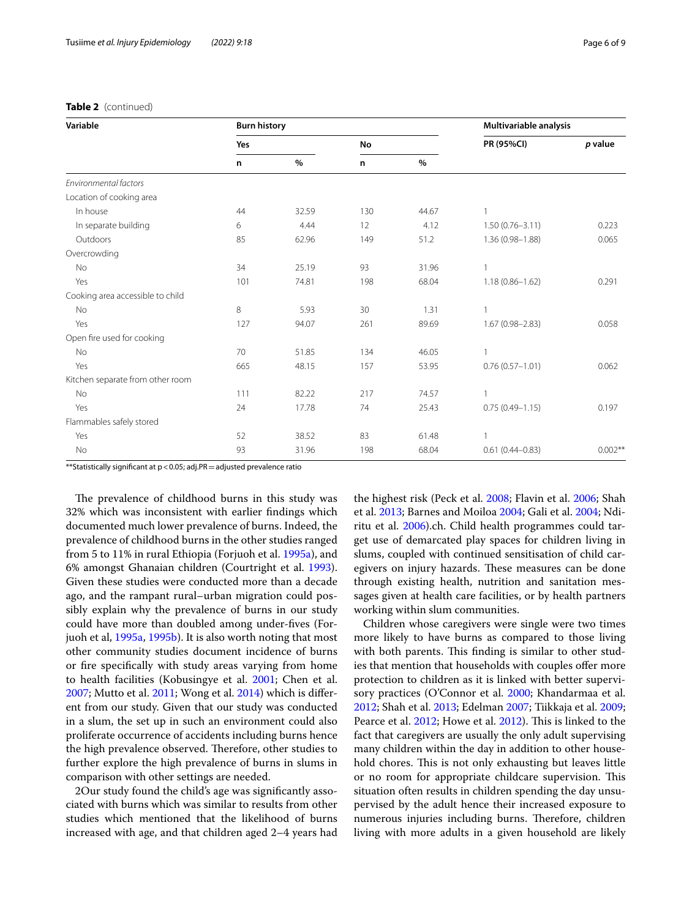#### **Table 2** (continued)

| Variable                         | <b>Burn history</b> |       |     |       | Multivariable analysis |           |
|----------------------------------|---------------------|-------|-----|-------|------------------------|-----------|
|                                  | Yes                 |       | No  |       | PR (95%CI)             | p value   |
|                                  | n                   | $\%$  | n   | $\%$  |                        |           |
| Environmental factors            |                     |       |     |       |                        |           |
| Location of cooking area         |                     |       |     |       |                        |           |
| In house                         | 44                  | 32.59 | 130 | 44.67 | $\mathbf{1}$           |           |
| In separate building             | 6                   | 4.44  | 12  | 4.12  | $1.50(0.76 - 3.11)$    | 0.223     |
| Outdoors                         | 85                  | 62.96 | 149 | 51.2  | 1.36 (0.98-1.88)       | 0.065     |
| Overcrowding                     |                     |       |     |       |                        |           |
| No                               | 34                  | 25.19 | 93  | 31.96 |                        |           |
| Yes                              | 101                 | 74.81 | 198 | 68.04 | $1.18(0.86 - 1.62)$    | 0.291     |
| Cooking area accessible to child |                     |       |     |       |                        |           |
| No                               | 8                   | 5.93  | 30  | 1.31  | 1                      |           |
| Yes                              | 127                 | 94.07 | 261 | 89.69 | $1.67(0.98 - 2.83)$    | 0.058     |
| Open fire used for cooking       |                     |       |     |       |                        |           |
| No                               | 70                  | 51.85 | 134 | 46.05 |                        |           |
| Yes                              | 665                 | 48.15 | 157 | 53.95 | $0.76(0.57 - 1.01)$    | 0.062     |
| Kitchen separate from other room |                     |       |     |       |                        |           |
| No                               | 111                 | 82.22 | 217 | 74.57 | 1                      |           |
| Yes                              | 24                  | 17.78 | 74  | 25.43 | $0.75(0.49 - 1.15)$    | 0.197     |
| Flammables safely stored         |                     |       |     |       |                        |           |
| Yes                              | 52                  | 38.52 | 83  | 61.48 |                        |           |
| No                               | 93                  | 31.96 | 198 | 68.04 | $0.61(0.44 - 0.83)$    | $0.002**$ |

\*\*Statistically signifcant at p<0.05; adj.PR=adjusted prevalence ratio

The prevalence of childhood burns in this study was 32% which was inconsistent with earlier fndings which documented much lower prevalence of burns. Indeed, the prevalence of childhood burns in the other studies ranged from 5 to 11% in rural Ethiopia (Forjuoh et al. [1995a\)](#page-7-5), and 6% amongst Ghanaian children (Courtright et al. [1993](#page-7-6)). Given these studies were conducted more than a decade ago, and the rampant rural–urban migration could possibly explain why the prevalence of burns in our study could have more than doubled among under-fves (Forjuoh et al, [1995a](#page-7-5), [1995b\)](#page-7-7). It is also worth noting that most other community studies document incidence of burns or fre specifcally with study areas varying from home to health facilities (Kobusingye et al. [2001;](#page-8-11) Chen et al. [2007](#page-7-8); Mutto et al. [2011;](#page-8-12) Wong et al. [2014\)](#page-8-13) which is diferent from our study. Given that our study was conducted in a slum, the set up in such an environment could also proliferate occurrence of accidents including burns hence the high prevalence observed. Therefore, other studies to further explore the high prevalence of burns in slums in comparison with other settings are needed.

2Our study found the child's age was signifcantly associated with burns which was similar to results from other studies which mentioned that the likelihood of burns increased with age, and that children aged 2–4 years had the highest risk (Peck et al. [2008](#page-8-1); Flavin et al. [2006](#page-7-9); Shah et al. [2013](#page-8-14); Barnes and Moiloa [2004;](#page-7-10) Gali et al. [2004](#page-7-11); Ndiritu et al. [2006\)](#page-8-8).ch. Child health programmes could target use of demarcated play spaces for children living in slums, coupled with continued sensitisation of child caregivers on injury hazards. These measures can be done through existing health, nutrition and sanitation messages given at health care facilities, or by health partners working within slum communities.

Children whose caregivers were single were two times more likely to have burns as compared to those living with both parents. This finding is similar to other studies that mention that households with couples ofer more protection to children as it is linked with better supervisory practices (O'Connor et al. [2000;](#page-8-15) Khandarmaa et al. [2012](#page-7-12); Shah et al. [2013](#page-8-14); Edelman [2007;](#page-7-13) Tiikkaja et al. [2009](#page-8-16); Pearce et al. [2012](#page-8-17); Howe et al. [2012](#page-7-14)). This is linked to the fact that caregivers are usually the only adult supervising many children within the day in addition to other household chores. This is not only exhausting but leaves little or no room for appropriate childcare supervision. This situation often results in children spending the day unsupervised by the adult hence their increased exposure to numerous injuries including burns. Therefore, children living with more adults in a given household are likely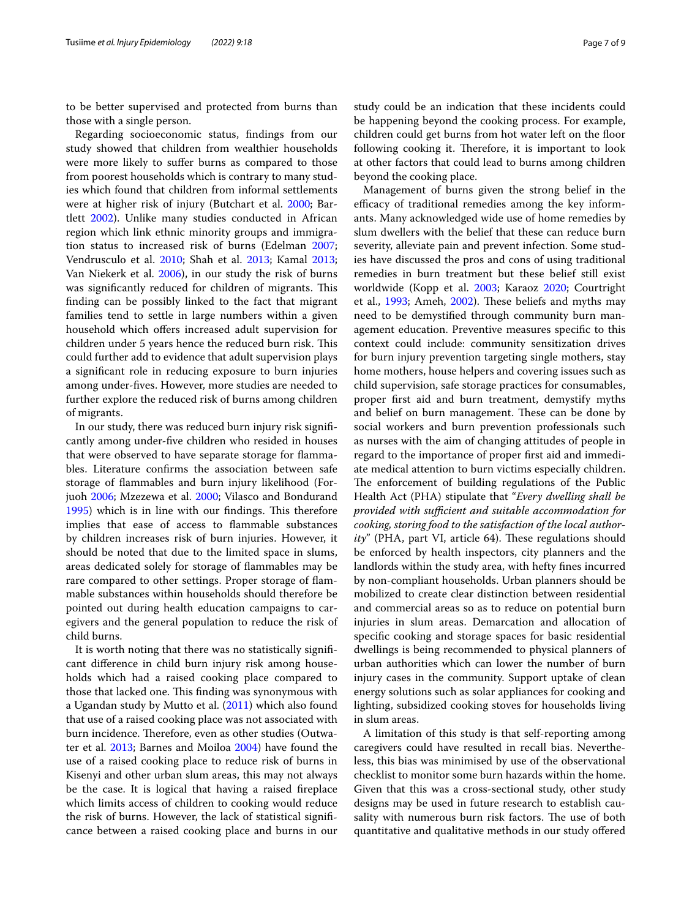to be better supervised and protected from burns than those with a single person.

Regarding socioeconomic status, fndings from our study showed that children from wealthier households were more likely to suffer burns as compared to those from poorest households which is contrary to many studies which found that children from informal settlements were at higher risk of injury (Butchart et al. [2000](#page-7-2); Bartlett [2002\)](#page-7-15). Unlike many studies conducted in African region which link ethnic minority groups and immigration status to increased risk of burns (Edelman [2007](#page-7-13); Vendrusculo et al. [2010](#page-8-7); Shah et al. [2013](#page-8-14); Kamal [2013](#page-7-16); Van Niekerk et al. [2006](#page-8-18)), in our study the risk of burns was significantly reduced for children of migrants. This fnding can be possibly linked to the fact that migrant families tend to settle in large numbers within a given household which offers increased adult supervision for children under 5 years hence the reduced burn risk. This could further add to evidence that adult supervision plays a signifcant role in reducing exposure to burn injuries among under-fves. However, more studies are needed to further explore the reduced risk of burns among children of migrants.

In our study, there was reduced burn injury risk signifcantly among under-fve children who resided in houses that were observed to have separate storage for fammables. Literature confrms the association between safe storage of fammables and burn injury likelihood (Forjuoh [2006;](#page-7-1) Mzezewa et al. [2000;](#page-8-9) Vilasco and Bondurand [1995](#page-8-19)) which is in line with our findings. This therefore implies that ease of access to fammable substances by children increases risk of burn injuries. However, it should be noted that due to the limited space in slums, areas dedicated solely for storage of fammables may be rare compared to other settings. Proper storage of fammable substances within households should therefore be pointed out during health education campaigns to caregivers and the general population to reduce the risk of child burns.

It is worth noting that there was no statistically signifcant diference in child burn injury risk among households which had a raised cooking place compared to those that lacked one. This finding was synonymous with a Ugandan study by Mutto et al. ([2011](#page-8-12)) which also found that use of a raised cooking place was not associated with burn incidence. Therefore, even as other studies (Outwater et al. [2013;](#page-8-5) Barnes and Moiloa [2004\)](#page-7-10) have found the use of a raised cooking place to reduce risk of burns in Kisenyi and other urban slum areas, this may not always be the case. It is logical that having a raised freplace which limits access of children to cooking would reduce the risk of burns. However, the lack of statistical signifcance between a raised cooking place and burns in our study could be an indication that these incidents could be happening beyond the cooking process. For example, children could get burns from hot water left on the foor following cooking it. Therefore, it is important to look at other factors that could lead to burns among children beyond the cooking place.

Management of burns given the strong belief in the efficacy of traditional remedies among the key informants. Many acknowledged wide use of home remedies by slum dwellers with the belief that these can reduce burn severity, alleviate pain and prevent infection. Some studies have discussed the pros and cons of using traditional remedies in burn treatment but these belief still exist worldwide (Kopp et al. [2003](#page-8-20); Karaoz [2020;](#page-7-17) Courtright et al.,  $1993$ ; Ameh,  $2002$ ). These beliefs and myths may need to be demystifed through community burn management education. Preventive measures specifc to this context could include: community sensitization drives for burn injury prevention targeting single mothers, stay home mothers, house helpers and covering issues such as child supervision, safe storage practices for consumables, proper frst aid and burn treatment, demystify myths and belief on burn management. These can be done by social workers and burn prevention professionals such as nurses with the aim of changing attitudes of people in regard to the importance of proper frst aid and immediate medical attention to burn victims especially children. The enforcement of building regulations of the Public Health Act (PHA) stipulate that "*Every dwelling shall be provided with sufficient and suitable accommodation for cooking, storing food to the satisfaction of the local authority*" (PHA, part VI, article 64). These regulations should be enforced by health inspectors, city planners and the landlords within the study area, with hefty fnes incurred by non-compliant households. Urban planners should be mobilized to create clear distinction between residential and commercial areas so as to reduce on potential burn injuries in slum areas. Demarcation and allocation of specifc cooking and storage spaces for basic residential dwellings is being recommended to physical planners of urban authorities which can lower the number of burn injury cases in the community. Support uptake of clean energy solutions such as solar appliances for cooking and lighting, subsidized cooking stoves for households living in slum areas.

A limitation of this study is that self-reporting among caregivers could have resulted in recall bias. Nevertheless, this bias was minimised by use of the observational checklist to monitor some burn hazards within the home. Given that this was a cross-sectional study, other study designs may be used in future research to establish causality with numerous burn risk factors. The use of both quantitative and qualitative methods in our study ofered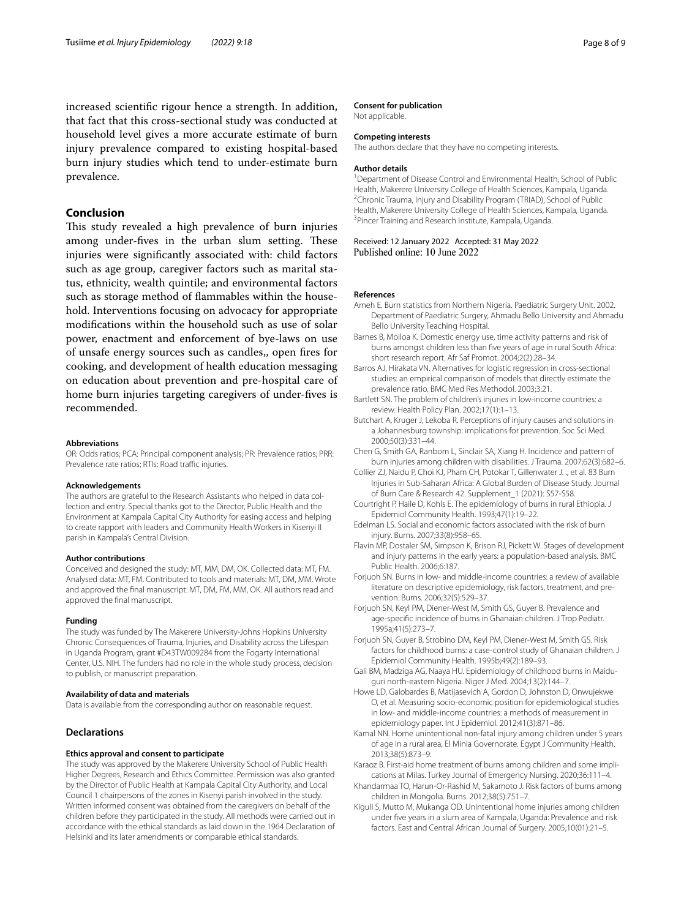increased scientifc rigour hence a strength. In addition, that fact that this cross-sectional study was conducted at household level gives a more accurate estimate of burn injury prevalence compared to existing hospital-based burn injury studies which tend to under-estimate burn prevalence.

#### **Conclusion**

This study revealed a high prevalence of burn injuries among under-fives in the urban slum setting. These injuries were signifcantly associated with: child factors such as age group, caregiver factors such as marital status, ethnicity, wealth quintile; and environmental factors such as storage method of fammables within the household. Interventions focusing on advocacy for appropriate modifcations within the household such as use of solar power, enactment and enforcement of bye-laws on use of unsafe energy sources such as candles,, open fres for cooking, and development of health education messaging on education about prevention and pre-hospital care of home burn injuries targeting caregivers of under-fves is recommended.

#### **Abbreviations**

OR: Odds ratios; PCA: Principal component analysis; PR: Prevalence ratios; PRR: Prevalence rate ratios; RTIs: Road traffic injuries.

#### **Acknowledgements**

The authors are grateful to the Research Assistants who helped in data collection and entry. Special thanks got to the Director, Public Health and the Environment at Kampala Capital City Authority for easing access and helping to create rapport with leaders and Community Health Workers in Kisenyi II parish in Kampala's Central Division.

#### **Author contributions**

Conceived and designed the study: MT, MM, DM, OK. Collected data: MT, FM. Analysed data: MT, FM. Contributed to tools and materials: MT, DM, MM. Wrote and approved the fnal manuscript: MT, DM, FM, MM, OK. All authors read and approved the fnal manuscript.

#### **Funding**

The study was funded by The Makerere University-Johns Hopkins University Chronic Consequences of Trauma, Injuries, and Disability across the Lifespan in Uganda Program, grant #D43TW009284 from the Fogarty International Center, U.S. NIH. The funders had no role in the whole study process, decision to publish, or manuscript preparation.

#### **Availability of data and materials**

Data is available from the corresponding author on reasonable request.

#### **Declarations**

#### **Ethics approval and consent to participate**

The study was approved by the Makerere University School of Public Health Higher Degrees, Research and Ethics Committee. Permission was also granted by the Director of Public Health at Kampala Capital City Authority, and Local Council 1 chairpersons of the zones in Kisenyi parish involved in the study. Written informed consent was obtained from the caregivers on behalf of the children before they participated in the study. All methods were carried out in accordance with the ethical standards as laid down in the 1964 Declaration of Helsinki and its later amendments or comparable ethical standards.

#### **Consent for publication**

Not applicable.

#### **Competing interests**

The authors declare that they have no competing interests.

#### **Author details**

<sup>1</sup> Department of Disease Control and Environmental Health, School of Public Health, Makerere University College of Health Sciences, Kampala, Uganda. 2 <sup>2</sup>Chronic Trauma, Injury and Disability Program (TRIAD), School of Public Health, Makerere University College of Health Sciences, Kampala, Uganda. 3 <sup>3</sup> Pincer Training and Research Institute, Kampala, Uganda.

## Received: 12 January 2022 Accepted: 31 May 2022<br>Published online: 10 June 2022

#### **References**

- <span id="page-7-18"></span>Ameh E. Burn statistics from Northern Nigeria. Paediatric Surgery Unit. 2002. Department of Paediatric Surgery, Ahmadu Bello University and Ahmadu Bello University Teaching Hospital.
- <span id="page-7-10"></span>Barnes B, Moiloa K. Domestic energy use, time activity patterns and risk of burns amongst children less than fve years of age in rural South Africa: short research report. Afr Saf Promot. 2004;2(2):28–34.
- <span id="page-7-4"></span>Barros AJ, Hirakata VN. Alternatives for logistic regression in cross-sectional studies: an empirical comparison of models that directly estimate the prevalence ratio. BMC Med Res Methodol. 2003;3:21.
- <span id="page-7-15"></span>Bartlett SN. The problem of children's injuries in low-income countries: a review. Health Policy Plan. 2002;17(1):1–13.
- <span id="page-7-2"></span>Butchart A, Kruger J, Lekoba R. Perceptions of injury causes and solutions in a Johannesburg township: implications for prevention. Soc Sci Med. 2000;50(3):331–44.
- <span id="page-7-8"></span>Chen G, Smith GA, Ranbom L, Sinclair SA, Xiang H. Incidence and pattern of burn injuries among children with disabilities. J Trauma. 2007;62(3):682–6.
- <span id="page-7-0"></span>Collier ZJ, Naidu P, Choi KJ, Pham CH, Potokar T, Gillenwater J. ., et al. 83 Burn Injuries in Sub-Saharan Africa: A Global Burden of Disease Study. Journal of Burn Care & Research 42. Supplement\_1 (2021): S57-S58.
- <span id="page-7-6"></span>Courtright P, Haile D, Kohls E. The epidemiology of burns in rural Ethiopia. J Epidemiol Community Health. 1993;47(1):19–22.
- <span id="page-7-13"></span>Edelman LS. Social and economic factors associated with the risk of burn injury. Burns. 2007;33(8):958–65.
- <span id="page-7-9"></span>Flavin MP, Dostaler SM, Simpson K, Brison RJ, Pickett W. Stages of development and injury patterns in the early years: a population-based analysis. BMC Public Health. 2006;6:187.
- <span id="page-7-1"></span>Forjuoh SN. Burns in low- and middle-income countries: a review of available literature on descriptive epidemiology, risk factors, treatment, and prevention. Burns. 2006;32(5):529–37.
- <span id="page-7-5"></span>Forjuoh SN, Keyl PM, Diener-West M, Smith GS, Guyer B. Prevalence and age-specifc incidence of burns in Ghanaian children. J Trop Pediatr. 1995a;41(5):273–7.
- <span id="page-7-7"></span>Forjuoh SN, Guyer B, Strobino DM, Keyl PM, Diener-West M, Smith GS. Risk factors for childhood burns: a case-control study of Ghanaian children. J Epidemiol Community Health. 1995b;49(2):189–93.
- <span id="page-7-11"></span>Gali BM, Madziga AG, Naaya HU. Epidemiology of childhood burns in Maiduguri north-eastern Nigeria. Niger J Med. 2004;13(2):144–7.
- <span id="page-7-14"></span>Howe LD, Galobardes B, Matijasevich A, Gordon D, Johnston D, Onwujekwe O, et al. Measuring socio-economic position for epidemiological studies in low- and middle-income countries: a methods of measurement in epidemiology paper. Int J Epidemiol. 2012;41(3):871–86.
- <span id="page-7-16"></span>Kamal NN. Home unintentional non-fatal injury among children under 5 years of age in a rural area, El Minia Governorate. Egypt J Community Health. 2013;38(5):873–9.
- <span id="page-7-17"></span>Karaoz B. First-aid home treatment of burns among children and some implications at Milas. Turkey Journal of Emergency Nursing. 2020;36:111–4.
- <span id="page-7-12"></span>Khandarmaa TO, Harun-Or-Rashid M, Sakamoto J. Risk factors of burns among children in Mongolia. Burns. 2012;38(5):751–7.
- <span id="page-7-3"></span>Kiguli S, Mutto M, Mukanga OD. Unintentional home injuries among children under fve years in a slum area of Kampala, Uganda: Prevalence and risk factors. East and Central African Journal of Surgery. 2005;10(01):21–5.